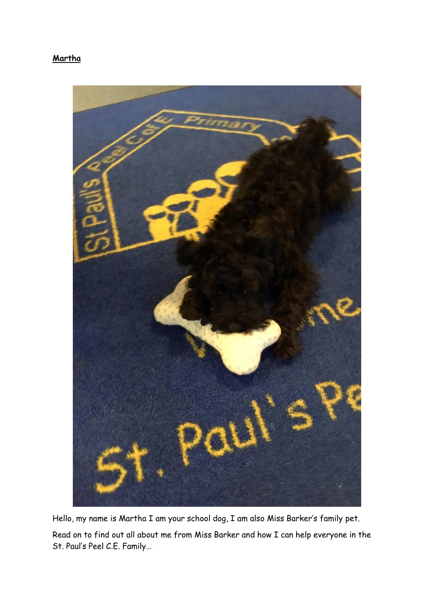## **Martha**



Hello, my name is Martha I am your school dog, I am also Miss Barker's family pet. Read on to find out all about me from Miss Barker and how I can help everyone in the St. Paul's Peel C.E. Family…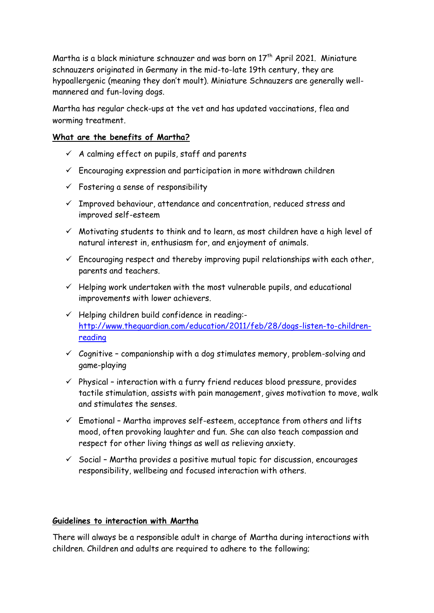Martha is a black miniature schnauzer and was born on  $17<sup>th</sup>$  April 2021. Miniature schnauzers originated in Germany in the mid-to-late 19th century, they are hypoallergenic (meaning they don't moult). Miniature Schnauzers are generally wellmannered and fun-loving dogs.

Martha has regular check-ups at the vet and has updated vaccinations, flea and worming treatment.

## **What are the benefits of Martha?**

- $\checkmark$  A calming effect on pupils, staff and parents
- $\checkmark$  Encouraging expression and participation in more withdrawn children
- $\checkmark$  Fostering a sense of responsibility
- $\checkmark$  Improved behaviour, attendance and concentration, reduced stress and improved self-esteem
- $\checkmark$  Motivating students to think and to learn, as most children have a high level of natural interest in, enthusiasm for, and enjoyment of animals.
- $\checkmark$  Encouraging respect and thereby improving pupil relationships with each other, parents and teachers.
- $\checkmark$  Helping work undertaken with the most vulnerable pupils, and educational improvements with lower achievers.
- $\checkmark$  Helping children build confidence in reading:[http://www.theguardian.com/education/2011/feb/28/dogs-listen-to-children](http://www.theguardian.com/education/2011/feb/28/dogs-listen-to-children-reading)[reading](http://www.theguardian.com/education/2011/feb/28/dogs-listen-to-children-reading)
- $\checkmark$  Cognitive companionship with a dog stimulates memory, problem-solving and game-playing
- $\checkmark$  Physical interaction with a furry friend reduces blood pressure, provides tactile stimulation, assists with pain management, gives motivation to move, walk and stimulates the senses.
- $\checkmark$  Emotional Martha improves self-esteem, acceptance from others and lifts mood, often provoking laughter and fun. She can also teach compassion and respect for other living things as well as relieving anxiety.
- $\checkmark$  Social Martha provides a positive mutual topic for discussion, encourages responsibility, wellbeing and focused interaction with others.

## **Guidelines to interaction with Martha**

There will always be a responsible adult in charge of Martha during interactions with children. Children and adults are required to adhere to the following;